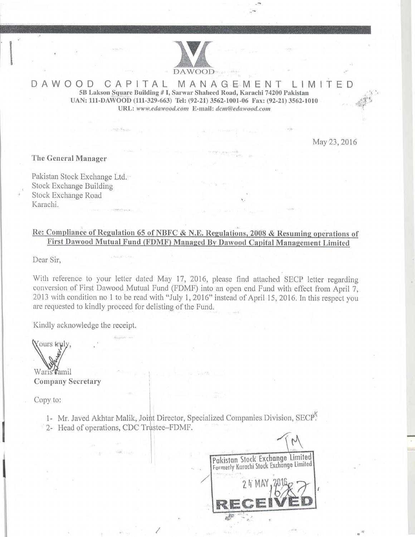

## DAWOOD CAPITAL MANAGEMENT LIMITED **5B Lakson Square Building # I, Sarwar Shaheed Road, Karachi 74200 Pakistan UAN 111 DAWOOD (111-329-663) Tel (92-21) 3562-1001-06 Fax: (92-21) 3562-1010**   $URL: [www.eduwood.com](http://www.eduwood.com) E-mail: [dcm@edawood.com](mailto:dcm@edawood.com)$

May 23, 2016

**The General Manager** 

Pakistan Stock Exchange Ltd. Stock Exchange Building Stock Exchange Road Karachi.

## 1**<sup>1</sup> Re: Compliance of Regulation 65 of NBFC** & **N.E. Regulations, 2008 & Resuming operations of First Dawood Mutual Fund (FDMF) Managed By Dawood Capital Management Limited**

Dear Sir,

With reference to your letter dated May 17, 2016, please find attached SECP letter regarding conversion of First Dawood Mutual Fund (FDMF) into an open end Fund with effect from April 7, 2013 with condition no 1 to be read with "July 1, 2016" instead of April 15, 2016. In this respect you are requested to kindly proceed for delisting of the Fund.

Kindly acknowledge the receipt.

Yours truly,

Waris Tamil **Company Secretary** 

Copy to:

1- Mr. Javed Akhtar Malik, Joint Director, Specialized Companies Division, SECP<sup>®</sup>.

/

2- Head of operations, CDC Trustee–FDMF.